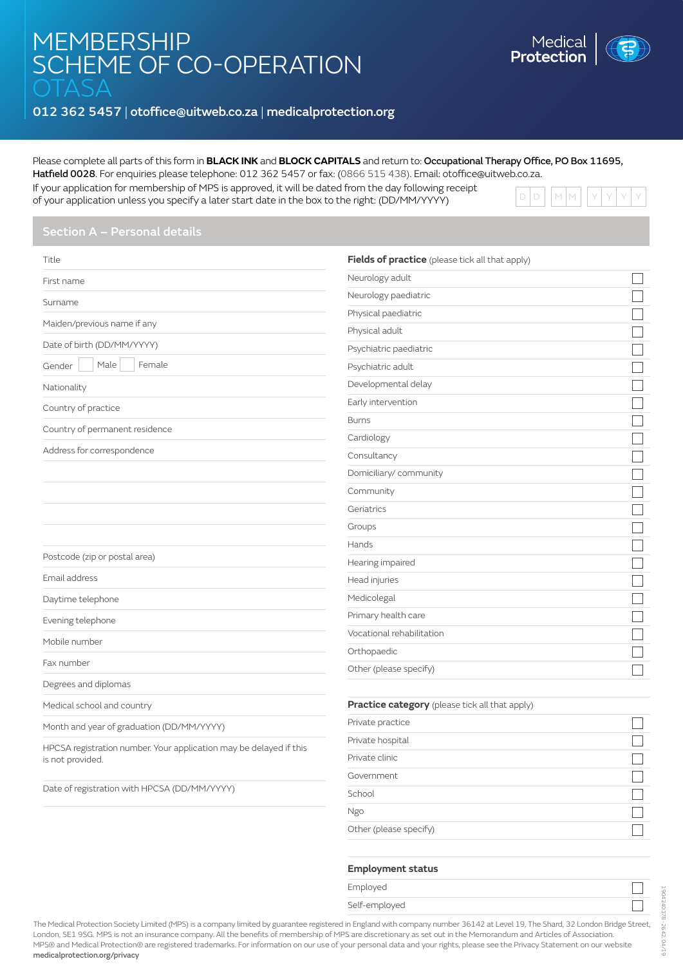# **MEMBERSHIP** SCHEME OF CO-OPERATION

# 012 362 5457 | otoffice@uitweb.co.za | [medicalprotection.org](http://www.medicalprotection.org/south-africa)

## Please complete all parts of this form in **BLACK INK** and **BLOCK CAPITALS** and return to: Occupational Therapy Office, PO Box 11695,

Hatfield 0028. For enquiries please telephone: 012 362 5457 or fax: (0866 515 438). Email: otoffice@uitweb.co.za.

If your application for membership of MPS is approved, it will be dated from the day following receipt of your application unless you specify a later start date in the box to the right: (DD/MM/YYYY)



| Title                                                              | Fields of practice (please tick all that apply) |              |
|--------------------------------------------------------------------|-------------------------------------------------|--------------|
| First name                                                         | Neurology adult                                 |              |
| Surname                                                            | Neurology paediatric                            |              |
|                                                                    | Physical paediatric                             |              |
| Maiden/previous name if any                                        | Physical adult                                  | $\mathbb{Z}$ |
| Date of birth (DD/MM/YYYY)                                         | Psychiatric paediatric                          |              |
| Male<br>Female<br>Gender                                           | Psychiatric adult                               |              |
| Nationality                                                        | Developmental delay                             |              |
| Country of practice                                                | Early intervention                              |              |
|                                                                    | <b>Burns</b>                                    | ┓            |
| Country of permanent residence                                     | Cardiology                                      |              |
| Address for correspondence                                         | Consultancy                                     |              |
|                                                                    | Domiciliary/community                           |              |
|                                                                    | Community                                       |              |
|                                                                    | Geriatrics                                      | $\mathbb{Z}$ |
|                                                                    | Groups                                          | $\Box$       |
|                                                                    | Hands                                           |              |
| Postcode (zip or postal area)                                      | Hearing impaired                                |              |
| Email address                                                      | Head injuries                                   | $\Box$       |
| Daytime telephone                                                  | Medicolegal                                     |              |
| Evening telephone                                                  | Primary health care                             |              |
| Mobile number                                                      | Vocational rehabilitation                       |              |
|                                                                    | Orthopaedic                                     |              |
| Fax number                                                         | Other (please specify)                          |              |
| Degrees and diplomas                                               |                                                 |              |
| Medical school and country                                         | Practice category (please tick all that apply)  |              |
| Month and year of graduation (DD/MM/YYYY)                          | Private practice                                |              |
| HPCSA registration number. Your application may be delayed if this | Private hospital                                |              |
| is not provided.                                                   | Private clinic                                  |              |
|                                                                    | Government                                      |              |
| Date of registration with HPCSA (DD/MM/YYYY)                       | School                                          |              |
|                                                                    | Ngo                                             |              |

Other (please specify)

## **Employment status**

| Employed                    |  |  |
|-----------------------------|--|--|
| $\sim$ 10 $\sim$ 1 $\sim$ 1 |  |  |

Self-employed

The Medical Protection Society Limited (MPS) is a company limited by guarantee registered in England with company number 36142 at Level 19, The Shard, 32 London Bridge Street, London, SE1 9SG. MPS is not an insurance company. All the benefits of membership of MPS are discretionary as set out in the Memorandum and Articles of Association. MPS® and Medical Protection® are registered trademarks. For information on our use of your personal data and your rights, please see the Privacy Statement on our website [medicalprotection.org/privacy](http://medicalprotection.org/privacy)

 $\Box$ 

 $\Box$ 

 $\Box$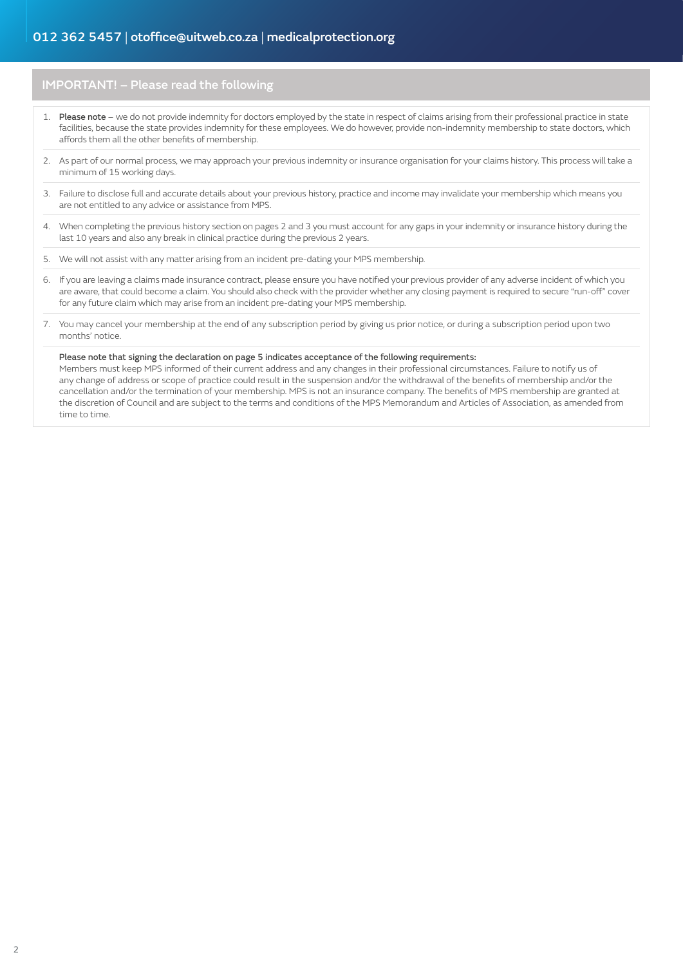# 012 362 5457 | otoffice@uitweb.co.za | [medicalprotection.org](http://www.medicalprotection.org/south-africa)

# IMPORTANT! – Please read the following

- 1. Please note we do not provide indemnity for doctors employed by the state in respect of claims arising from their professional practice in state facilities, because the state provides indemnity for these employees. We do however, provide non-indemnity membership to state doctors, which affords them all the other benefits of membership.
- 2. As part of our normal process, we may approach your previous indemnity or insurance organisation for your claims history. This process will take a minimum of 15 working days.
- 3. Failure to disclose full and accurate details about your previous history, practice and income may invalidate your membership which means you are not entitled to any advice or assistance from MPS.
- 4. When completing the previous history section on pages 2 and 3 you must account for any gaps in your indemnity or insurance history during the last 10 years and also any break in clinical practice during the previous 2 years.
- 5. We will not assist with any matter arising from an incident pre-dating your MPS membership.
- 6. If you are leaving a claims made insurance contract, please ensure you have notified your previous provider of any adverse incident of which you are aware, that could become a claim. You should also check with the provider whether any closing payment is required to secure "run-off" cover for any future claim which may arise from an incident pre-dating your MPS membership.
- 7. You may cancel your membership at the end of any subscription period by giving us prior notice, or during a subscription period upon two months' notice.

#### Please note that signing the declaration on page 5 indicates acceptance of the following requirements:

Members must keep MPS informed of their current address and any changes in their professional circumstances. Failure to notify us of any change of address or scope of practice could result in the suspension and/or the withdrawal of the benefits of membership and/or the cancellation and/or the termination of your membership. MPS is not an insurance company. The benefits of MPS membership are granted at the discretion of Council and are subject to the terms and conditions of the MPS Memorandum and Articles of Association, as amended from time to time.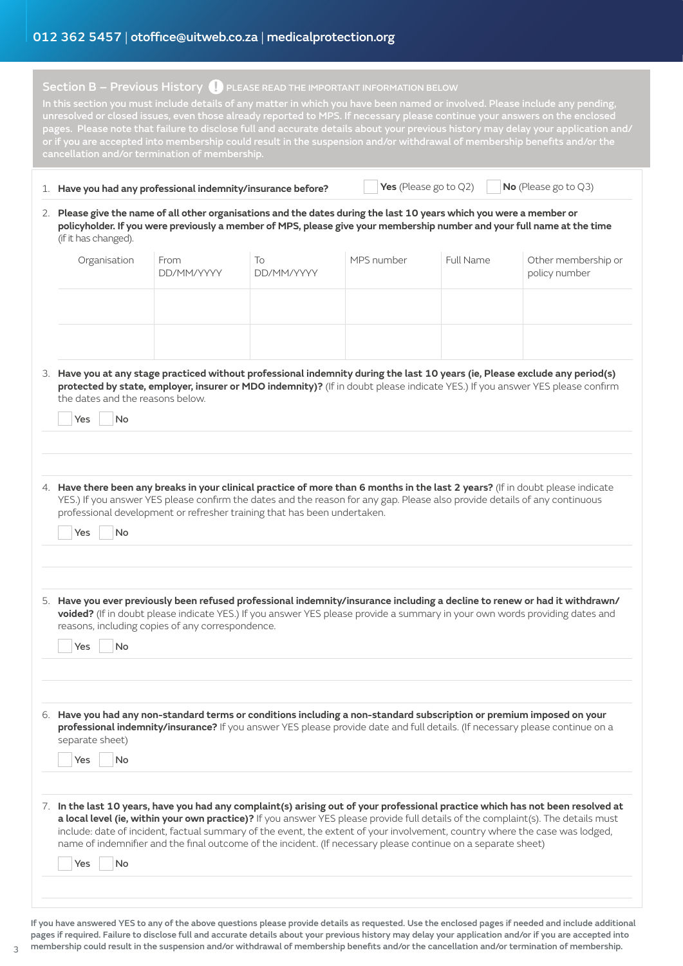# Section B - Previous History **(D** PLEASE READ THE IMPORTANT INFORMATION BELOW

In this section you must include details of any matter in which you have been named or involved. Please include any pending, unresolved or closed issues, even those already reported to MPS. If necessary please continue your answers on the enclosed pages. Please note that failure to disclose full and accurate details about your previous history may delay your application and/ In this section you must include details of any matter in which you have been named or involved unresolved or closed issues, even those already reported to MPS. If necessary please continue your answers on the enclose pages. Please note that failure to disclose full and accurate details about your previous history may delay your application and/ or if you are accepted into membership could result in the suspension and/or withdrawal of memi

| Have you had any professional indemnity/insurance before? |  | <b>Yes</b> (Please go to Q2) |  | $N$ o (Please go to Q3) |
|-----------------------------------------------------------|--|------------------------------|--|-------------------------|
|-----------------------------------------------------------|--|------------------------------|--|-------------------------|

2. **Please give the name of all other organisations and the dates during the last 10 years which you were a member or policyholder. If you were previously a member of MPS, please give your membership number and your full name at the time**  (if it has changed).

| Organisation | From<br>DD/MM/YYYY | To<br>DD/MM/YYYY | MPS number | <b>Full Name</b> | Other membership or<br>policy number |
|--------------|--------------------|------------------|------------|------------------|--------------------------------------|
|              |                    |                  |            |                  |                                      |
|              |                    |                  |            |                  |                                      |

3. **Have you at any stage practiced without professional indemnity during the last 10 years (ie, Please exclude any period(s) protected by state, employer, insurer or MDO indemnity)?** (If in doubt please indicate YES.) If you answer YES please confirm the dates and the reasons below.

| No<br>Yes                                                                                                                                                                                                                                                                                                                                                                                                                                                                                                                         |
|-----------------------------------------------------------------------------------------------------------------------------------------------------------------------------------------------------------------------------------------------------------------------------------------------------------------------------------------------------------------------------------------------------------------------------------------------------------------------------------------------------------------------------------|
|                                                                                                                                                                                                                                                                                                                                                                                                                                                                                                                                   |
| 4. Have there been any breaks in your clinical practice of more than 6 months in the last 2 years? (If in doubt please indicate<br>YES.) If you answer YES please confirm the dates and the reason for any gap. Please also provide details of any continuous<br>professional development or refresher training that has been undertaken.<br>Yes<br>No                                                                                                                                                                            |
| 5. Have you ever previously been refused professional indemnity/insurance including a decline to renew or had it withdrawn/<br>voided? (If in doubt please indicate YES.) If you answer YES please provide a summary in your own words providing dates and<br>reasons, including copies of any correspondence.<br>No<br>Yes                                                                                                                                                                                                       |
| 6. Have you had any non-standard terms or conditions including a non-standard subscription or premium imposed on your<br>professional indemnity/insurance? If you answer YES please provide date and full details. (If necessary please continue on a<br>separate sheet)<br>Yes<br><b>No</b>                                                                                                                                                                                                                                      |
| 7. In the last 10 years, have you had any complaint(s) arising out of your professional practice which has not been resolved at<br>a local level (ie, within your own practice)? If you answer YES please provide full details of the complaint(s). The details must<br>include: date of incident, factual summary of the event, the extent of your involvement, country where the case was lodged,<br>name of indemnifier and the final outcome of the incident. (If necessary please continue on a separate sheet)<br>No<br>Yes |
|                                                                                                                                                                                                                                                                                                                                                                                                                                                                                                                                   |

If you have answered YES to any of the above questions please provide details as requested. Use the enclosed pages if needed and include additional pages if required. Failure to disclose full and accurate details about your previous history may delay your application and/or if you are accepted into membership could result in the suspension and/or withdrawal of membership benefits and/or the cancellation and/or termination of membership.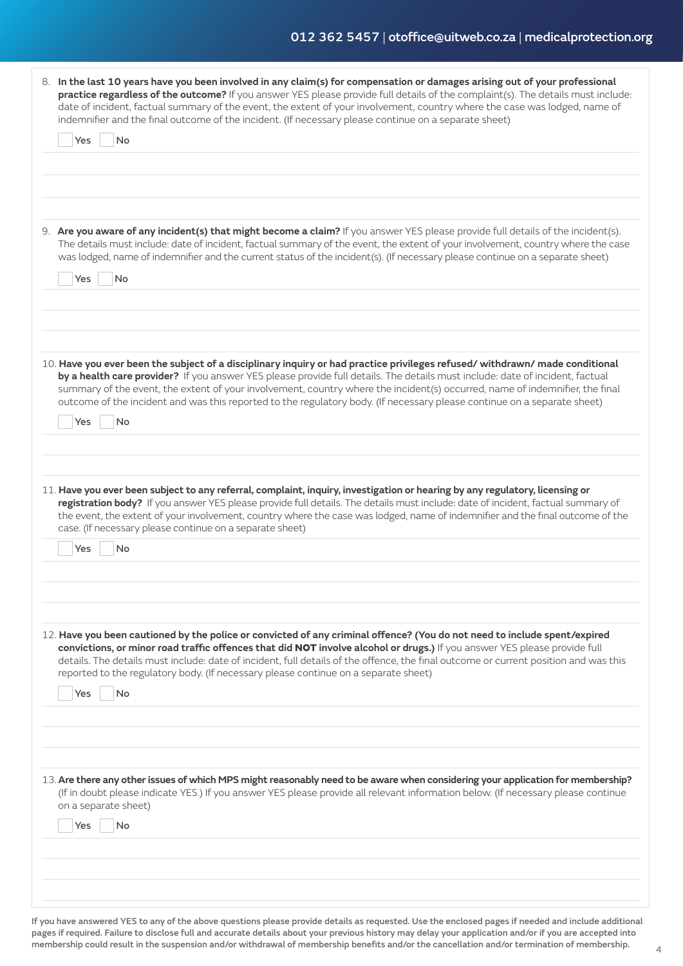| 8. In the last 10 years have you been involved in any claim(s) for compensation or damages arising out of your professional<br>practice regardless of the outcome? If you answer YES please provide full details of the complaint(s). The details must include:<br>date of incident, factual summary of the event, the extent of your involvement, country where the case was lodged, name of<br>indemnifier and the final outcome of the incident. (If necessary please continue on a separate sheet)<br>Yes<br>No                  |
|--------------------------------------------------------------------------------------------------------------------------------------------------------------------------------------------------------------------------------------------------------------------------------------------------------------------------------------------------------------------------------------------------------------------------------------------------------------------------------------------------------------------------------------|
| 9. Are you aware of any incident(s) that might become a claim? If you answer YES please provide full details of the incident(s).<br>The details must include: date of incident, factual summary of the event, the extent of your involvement, country where the case<br>was lodged, name of indemnifier and the current status of the incident(s). (If necessary please continue on a separate sheet)<br>Yes<br>No                                                                                                                   |
| 10. Have you ever been the subject of a disciplinary inquiry or had practice privileges refused/withdrawn/made conditional<br>by a health care provider? If you answer YES please provide full details. The details must include: date of incident, factual<br>summary of the event, the extent of your involvement, country where the incident(s) occurred, name of indemnifier, the final<br>outcome of the incident and was this reported to the regulatory body. (If necessary please continue on a separate sheet)<br>No<br>Yes |
| 11. Have you ever been subject to any referral, complaint, inquiry, investigation or hearing by any regulatory, licensing or<br>registration body? If you answer YES please provide full details. The details must include: date of incident, factual summary of<br>the event, the extent of your involvement, country where the case was lodged, name of indemnifier and the final outcome of the<br>case. (If necessary please continue on a separate sheet)<br>No<br>Yes                                                          |
| 12. Have you been cautioned by the police or convicted of any criminal offence? (You do not need to include spent/expired<br>convictions, or minor road traffic offences that did NOT involve alcohol or drugs.) If you answer YES please provide full<br>details. The details must include: date of incident, full details of the offence, the final outcome or current position and was this<br>reported to the regulatory body. (If necessary please continue on a separate sheet)<br>Yes<br>No                                   |
| 13. Are there any other issues of which MPS might reasonably need to be aware when considering your application for membership?<br>(If in doubt please indicate YES.) If you answer YES please provide all relevant information below. (If necessary please continue<br>on a separate sheet)<br>No<br>Yes                                                                                                                                                                                                                            |
|                                                                                                                                                                                                                                                                                                                                                                                                                                                                                                                                      |

If you have answered YES to any of the above questions please provide details as requested. Use the enclosed pages if needed and include additional pages if required. Failure to disclose full and accurate details about your previous history may delay your application and/or if you are accepted into membership could result in the suspension and/or withdrawal of membership benefits and/or the cancellation and/or termination of membership.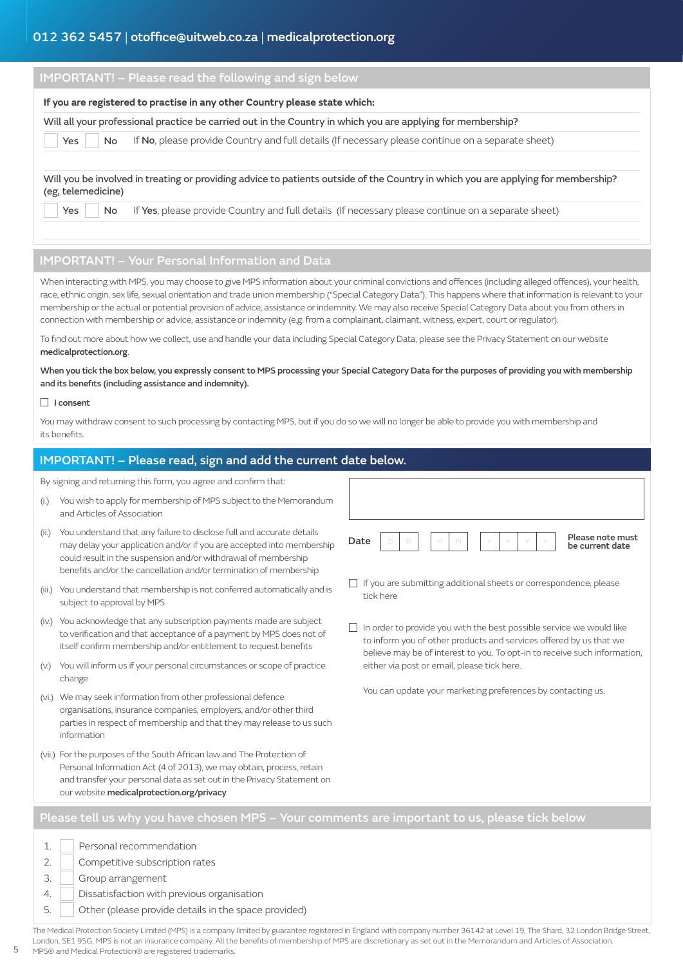# 012 362 5457 | otoffice@uitweb.co.za | [medicalprotection.org](http://www.medicalprotection.org/south-africa)

| <b>IMPORTANT!</b> - Please read the following and sign below |                                                                                                                                   |  |  |  |  |  |
|--------------------------------------------------------------|-----------------------------------------------------------------------------------------------------------------------------------|--|--|--|--|--|
|                                                              | If you are registered to practise in any other Country please state which:                                                        |  |  |  |  |  |
|                                                              | Will all your professional practice be carried out in the Country in which you are applying for membership?                       |  |  |  |  |  |
| Yes<br>No.                                                   | If No, please provide Country and full details (If necessary please continue on a separate sheet)                                 |  |  |  |  |  |
| (eg, telemedicine)                                           | Will you be involved in treating or providing advice to patients outside of the Country in which you are applying for membership? |  |  |  |  |  |
| Yes<br>No.                                                   | If Yes, please provide Country and full details (If necessary please continue on a separate sheet)                                |  |  |  |  |  |
|                                                              |                                                                                                                                   |  |  |  |  |  |

#### IMPORTANT! – Your Personal Information and Data

When interacting with MPS, you may choose to give MPS information about your criminal convictions and offences (including alleged offences), your health, race, ethnic origin, sex life, sexual orientation and trade union membership ("Special Category Data"). This happens where that information is relevant to your membership or the actual or potential provision of advice, assistance or indemnity. We may also receive Special Category Data about you from others in connection with membership or advice, assistance or indemnity (e.g. from a complainant, claimant, witness, expert, court or regulator).

To find out more about how we collect, use and handle your data including Special Category Data, please see the Privacy Statement on our website medicalprotection.org.

When you tick the box below, you expressly consent to MPS processing your Special Category Data for the purposes of providing you with membership and its benefits (including assistance and indemnity).

#### □ I consent

You may withdraw consent to such processing by contacting MPS, but if you do so we will no longer be able to provide you with membership and its benefits.

| IMPORTANT! - Please read, sign and add the current date below.                                |                                                                                                                                                                                                                                                                                       |                                                                                                                                                                                                                                |  |  |  |  |
|-----------------------------------------------------------------------------------------------|---------------------------------------------------------------------------------------------------------------------------------------------------------------------------------------------------------------------------------------------------------------------------------------|--------------------------------------------------------------------------------------------------------------------------------------------------------------------------------------------------------------------------------|--|--|--|--|
|                                                                                               | By signing and returning this form, you agree and confirm that:                                                                                                                                                                                                                       |                                                                                                                                                                                                                                |  |  |  |  |
| (i.)                                                                                          | You wish to apply for membership of MPS subject to the Memorandum<br>and Articles of Association                                                                                                                                                                                      |                                                                                                                                                                                                                                |  |  |  |  |
| (ii.)                                                                                         | You understand that any failure to disclose full and accurate details<br>may delay your application and/or if you are accepted into membership<br>could result in the suspension and/or withdrawal of membership<br>benefits and/or the cancellation and/or termination of membership | Please note must<br>Date<br>D<br>D<br>M<br>be current date                                                                                                                                                                     |  |  |  |  |
| (iii.)                                                                                        | You understand that membership is not conferred automatically and is<br>subject to approval by MPS                                                                                                                                                                                    | $\Box$ If you are submitting additional sheets or correspondence, please<br>tick here                                                                                                                                          |  |  |  |  |
|                                                                                               | (iv.) You acknowledge that any subscription payments made are subject<br>to verification and that acceptance of a payment by MPS does not of<br>itself confirm membership and/or entitlement to request benefits                                                                      | $\Box$ In order to provide you with the best possible service we would like<br>to inform you of other products and services offered by us that we<br>believe may be of interest to you. To opt-in to receive such information, |  |  |  |  |
| (V.)                                                                                          | You will inform us if your personal circumstances or scope of practice<br>change                                                                                                                                                                                                      | either via post or email, please tick here.                                                                                                                                                                                    |  |  |  |  |
|                                                                                               | (vi.) We may seek information from other professional defence<br>organisations, insurance companies, employers, and/or other third<br>parties in respect of membership and that they may release to us such<br>information                                                            | You can update your marketing preferences by contacting us.                                                                                                                                                                    |  |  |  |  |
|                                                                                               | (vii.) For the purposes of the South African law and The Protection of<br>Personal Information Act (4 of 2013), we may obtain, process, retain<br>and transfer your personal data as set out in the Privacy Statement on<br>our website medicalprotection.org/privacy                 |                                                                                                                                                                                                                                |  |  |  |  |
| Please tell us why you have chosen MPS – Your comments are important to us, please tick below |                                                                                                                                                                                                                                                                                       |                                                                                                                                                                                                                                |  |  |  |  |
| 1.<br>2.<br>3.                                                                                | Personal recommendation<br>Competitive subscription rates<br>Group arrangement                                                                                                                                                                                                        |                                                                                                                                                                                                                                |  |  |  |  |
| $\overline{4}$ .                                                                              | Dissatisfaction with previous organisation                                                                                                                                                                                                                                            |                                                                                                                                                                                                                                |  |  |  |  |

The Medical Protection Society Limited (MPS) is a company limited by guarantee registered in England with company number 36142 at Level 19, The Shard, 32 London Bridge Street, London, SE1 9SG. MPS is not an insurance company. All the benefits of membership of MPS are discretionary as set out in the Memorandum and Articles of Association. MPS® and Medical Protection® are registered trademarks.

5. Other (please provide details in the space provided)